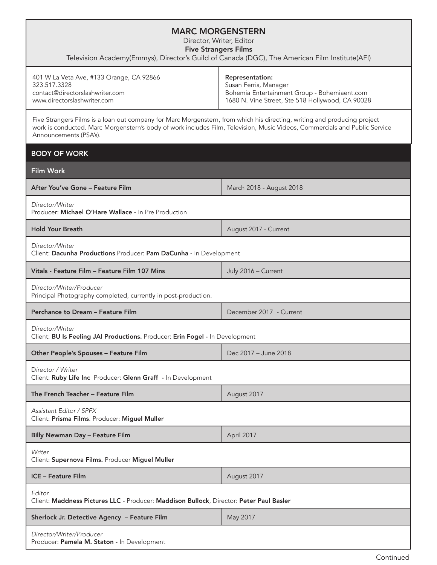## MARC MORGENSTERN

Director, Writer, Editor

Five Strangers Films

Television Academy(Emmys), Director's Guild of Canada (DGC), The American Film Institute(AFI)

| 401 W La Veta Ave, #133 Orange, CA 92866 | <b>Representation:</b>                           |
|------------------------------------------|--------------------------------------------------|
| 323.517.3328                             | Susan Ferris, Manager                            |
| contact@directorslashwriter.com          | Bohemia Entertainment Group - Bohemiaent.com     |
| www.directorslashwriter.com              | 1680 N. Vine Street, Ste 518 Hollywood, CA 90028 |

Five Strangers Films is a loan out company for Marc Morgenstern, from which his directing, writing and producing project work is conducted. Marc Morgenstern's body of work includes Film, Television, Music Videos, Commercials and Public Service Announcements (PSA's).

| <b>BODY OF WORK</b>                                                                               |                          |  |
|---------------------------------------------------------------------------------------------------|--------------------------|--|
| <b>Film Work</b>                                                                                  |                          |  |
| After You've Gone - Feature Film                                                                  | March 2018 - August 2018 |  |
| Director/Writer<br>Producer: Michael O'Hare Wallace - In Pre Production                           |                          |  |
| <b>Hold Your Breath</b>                                                                           | August 2017 - Current    |  |
| Director/Writer<br>Client: Dacunha Productions Producer: Pam DaCunha - In Development             |                          |  |
| Vitals - Feature Film - Feature Film 107 Mins                                                     | July 2016 - Current      |  |
| Director/Writer/Producer<br>Principal Photography completed, currently in post-production.        |                          |  |
| Perchance to Dream - Feature Film                                                                 | December 2017 - Current  |  |
| Director/Writer<br>Client: BU Is Feeling JAI Productions. Producer: Erin Fogel - In Development   |                          |  |
| Other People's Spouses - Feature Film                                                             | Dec 2017 - June 2018     |  |
| Director / Writer<br>Client: Ruby Life Inc Producer: Glenn Graff - In Development                 |                          |  |
| The French Teacher - Feature Film                                                                 | August 2017              |  |
| Assistant Editor / SPFX<br>Client: Prisma Films. Producer: Miguel Muller                          |                          |  |
| <b>Billy Newman Day - Feature Film</b>                                                            | April 2017               |  |
| Writer<br>Client: Supernova Films. Producer Miguel Muller                                         |                          |  |
| <b>ICE - Feature Film</b>                                                                         | August 2017              |  |
| Editor<br>Client: Maddness Pictures LLC - Producer: Maddison Bullock, Director: Peter Paul Basler |                          |  |
| Sherlock Jr. Detective Agency - Feature Film                                                      | May 2017                 |  |
| Director/Writer/Producer<br>Producer: Pamela M. Staton - In Development                           |                          |  |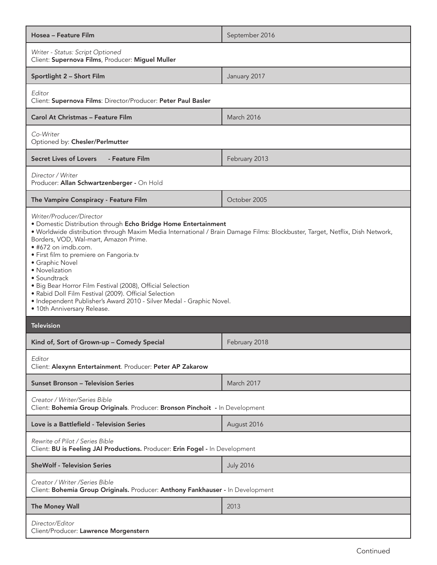| Hosea – Feature Film                                                                                                                                                                                                                                                                                                                                                                                                                                                                                                                                                                                                     | September 2016    |
|--------------------------------------------------------------------------------------------------------------------------------------------------------------------------------------------------------------------------------------------------------------------------------------------------------------------------------------------------------------------------------------------------------------------------------------------------------------------------------------------------------------------------------------------------------------------------------------------------------------------------|-------------------|
| Writer - Status: Script Optioned<br>Client: Supernova Films, Producer: Miguel Muller                                                                                                                                                                                                                                                                                                                                                                                                                                                                                                                                     |                   |
| Sportlight 2 - Short Film                                                                                                                                                                                                                                                                                                                                                                                                                                                                                                                                                                                                | January 2017      |
| Editor<br>Client: Supernova Films: Director/Producer: Peter Paul Basler                                                                                                                                                                                                                                                                                                                                                                                                                                                                                                                                                  |                   |
| <b>Carol At Christmas - Feature Film</b>                                                                                                                                                                                                                                                                                                                                                                                                                                                                                                                                                                                 | <b>March 2016</b> |
| Co-Writer<br>Optioned by: Chesler/Perlmutter                                                                                                                                                                                                                                                                                                                                                                                                                                                                                                                                                                             |                   |
| Secret Lives of Lovers<br>- Feature Film                                                                                                                                                                                                                                                                                                                                                                                                                                                                                                                                                                                 | February 2013     |
| Director / Writer<br>Producer: Allan Schwartzenberger - On Hold                                                                                                                                                                                                                                                                                                                                                                                                                                                                                                                                                          |                   |
| The Vampire Conspiracy - Feature Film                                                                                                                                                                                                                                                                                                                                                                                                                                                                                                                                                                                    | October 2005      |
| Writer/Producer/Director<br>· Domestic Distribution through Echo Bridge Home Entertainment<br>· Worldwide distribution through Maxim Media International / Brain Damage Films: Blockbuster, Target, Netflix, Dish Network,<br>Borders, VOD, Wal-mart, Amazon Prime.<br>• #672 on imdb.com.<br>· First film to premiere on Fangoria.tv<br>• Graphic Novel<br>• Novelization<br>• Soundtrack<br>• Big Bear Horror Film Festival (2008), Official Selection<br>· Rabid Doll Film Festival (2009). Official Selection<br>• Independent Publisher's Award 2010 - Silver Medal - Graphic Novel.<br>· 10th Anniversary Release. |                   |
| <b>Television</b>                                                                                                                                                                                                                                                                                                                                                                                                                                                                                                                                                                                                        |                   |
| Kind of, Sort of Grown-up - Comedy Special                                                                                                                                                                                                                                                                                                                                                                                                                                                                                                                                                                               | February 2018     |
| Editor<br>Client: Alexynn Entertainment. Producer: Peter AP Zakarow                                                                                                                                                                                                                                                                                                                                                                                                                                                                                                                                                      |                   |
| <b>Sunset Bronson - Television Series</b>                                                                                                                                                                                                                                                                                                                                                                                                                                                                                                                                                                                | March 2017        |
| Creator / Writer/Series Bible<br>Client: Bohemia Group Originals. Producer: Bronson Pinchoit - In Development                                                                                                                                                                                                                                                                                                                                                                                                                                                                                                            |                   |
| Love is a Battlefield - Television Series                                                                                                                                                                                                                                                                                                                                                                                                                                                                                                                                                                                | August 2016       |
| Rewrite of Pilot / Series Bible<br>Client: BU is Feeling JAI Productions. Producer: Erin Fogel - In Development                                                                                                                                                                                                                                                                                                                                                                                                                                                                                                          |                   |
| <b>SheWolf - Television Series</b>                                                                                                                                                                                                                                                                                                                                                                                                                                                                                                                                                                                       | <b>July 2016</b>  |
| Creator / Writer / Series Bible<br>Client: Bohemia Group Originals. Producer: Anthony Fankhauser - In Development                                                                                                                                                                                                                                                                                                                                                                                                                                                                                                        |                   |
| The Money Wall                                                                                                                                                                                                                                                                                                                                                                                                                                                                                                                                                                                                           | 2013              |
| Director/Editor<br>Client/Producer: Lawrence Morgenstern                                                                                                                                                                                                                                                                                                                                                                                                                                                                                                                                                                 |                   |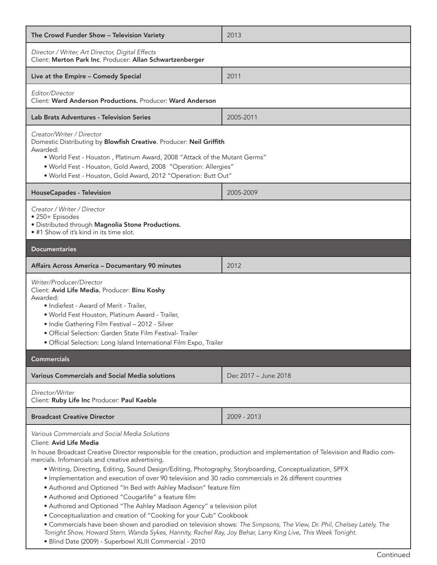| The Crowd Funder Show - Television Variety                                                                                                                                                                                                                                                                                                                                                                                                                                                                                                                                                                                                                                                                                                                                                                                                                                                                                                                                                                  | 2013                 |
|-------------------------------------------------------------------------------------------------------------------------------------------------------------------------------------------------------------------------------------------------------------------------------------------------------------------------------------------------------------------------------------------------------------------------------------------------------------------------------------------------------------------------------------------------------------------------------------------------------------------------------------------------------------------------------------------------------------------------------------------------------------------------------------------------------------------------------------------------------------------------------------------------------------------------------------------------------------------------------------------------------------|----------------------|
| Director / Writer, Art Director, Digital Effects<br>Client: Merton Park Inc. Producer: Allan Schwartzenberger                                                                                                                                                                                                                                                                                                                                                                                                                                                                                                                                                                                                                                                                                                                                                                                                                                                                                               |                      |
| Live at the Empire - Comedy Special                                                                                                                                                                                                                                                                                                                                                                                                                                                                                                                                                                                                                                                                                                                                                                                                                                                                                                                                                                         | 2011                 |
| Editor/Director<br>Client: Ward Anderson Productions. Producer: Ward Anderson                                                                                                                                                                                                                                                                                                                                                                                                                                                                                                                                                                                                                                                                                                                                                                                                                                                                                                                               |                      |
| <b>Lab Brats Adventures - Television Series</b>                                                                                                                                                                                                                                                                                                                                                                                                                                                                                                                                                                                                                                                                                                                                                                                                                                                                                                                                                             | 2005-2011            |
| Creator/Writer / Director<br>Domestic Distributing by Blowfish Creative. Producer: Neil Griffith<br>Awarded:<br>• World Fest - Houston, Platinum Award, 2008 "Attack of the Mutant Germs"<br>• World Fest - Houston, Gold Award, 2008 "Operation: Allergies"<br>• World Fest - Houston, Gold Award, 2012 "Operation: Butt Out"                                                                                                                                                                                                                                                                                                                                                                                                                                                                                                                                                                                                                                                                              |                      |
| <b>HouseCapades - Television</b>                                                                                                                                                                                                                                                                                                                                                                                                                                                                                                                                                                                                                                                                                                                                                                                                                                                                                                                                                                            | 2005-2009            |
| Creator / Writer / Director<br>• 250+ Episodes<br>· Distributed through Magnolia Stone Productions.<br>• #1 Show of it's kind in its time slot.                                                                                                                                                                                                                                                                                                                                                                                                                                                                                                                                                                                                                                                                                                                                                                                                                                                             |                      |
| <b>Documentaries</b>                                                                                                                                                                                                                                                                                                                                                                                                                                                                                                                                                                                                                                                                                                                                                                                                                                                                                                                                                                                        |                      |
| Affairs Across America - Documentary 90 minutes                                                                                                                                                                                                                                                                                                                                                                                                                                                                                                                                                                                                                                                                                                                                                                                                                                                                                                                                                             | 2012                 |
| Writer/Producer/Director<br>Client: Avid Life Media. Producer: Binu Koshy<br>Awarded:<br>· Indiefest - Award of Merit - Trailer,<br>· World Fest Houston, Platinum Award - Trailer,<br>· Indie Gathering Film Festival - 2012 - Silver<br>· Official Selection: Garden State Film Festival- Trailer<br>· Official Selection: Long Island International Film Expo, Trailer                                                                                                                                                                                                                                                                                                                                                                                                                                                                                                                                                                                                                                   |                      |
| <b>Commercials</b>                                                                                                                                                                                                                                                                                                                                                                                                                                                                                                                                                                                                                                                                                                                                                                                                                                                                                                                                                                                          |                      |
| <b>Various Commercials and Social Media solutions</b>                                                                                                                                                                                                                                                                                                                                                                                                                                                                                                                                                                                                                                                                                                                                                                                                                                                                                                                                                       | Dec 2017 - June 2018 |
| Director/Writer<br>Client: Ruby Life Inc Producer: Paul Kaeble                                                                                                                                                                                                                                                                                                                                                                                                                                                                                                                                                                                                                                                                                                                                                                                                                                                                                                                                              |                      |
| <b>Broadcast Creative Director</b>                                                                                                                                                                                                                                                                                                                                                                                                                                                                                                                                                                                                                                                                                                                                                                                                                                                                                                                                                                          | 2009 - 2013          |
| Various Commercials and Social Media Solutions<br>Client: Avid Life Media<br>In house Broadcast Creative Director responsible for the creation, production and implementation of Television and Radio com-<br>mercials. Infomercials and creative advertising.<br>. Writing, Directing, Editing, Sound Design/Editing, Photography, Storyboarding, Conceptualization, SPFX<br>· Implementation and execution of over 90 television and 30 radio commercials in 26 different countries<br>• Authored and Optioned "In Bed with Ashley Madison" feature film<br>• Authored and Optioned "Cougarlife" a feature film<br>• Authored and Optioned "The Ashley Madison Agency" a television pilot<br>• Conceptualization and creation of "Cooking for your Cub" Cookbook<br>• Commercials have been shown and parodied on television shows: The Simpsons, The View, Dr. Phil, Chelsey Lately, The<br>Tonight Show, Howard Stern, Wanda Sykes, Hannity, Rachel Ray, Joy Behar, Larry King Live, This Week Tonight. |                      |

• Blind Date (2009) - Superbowl XLIII Commercial - 2010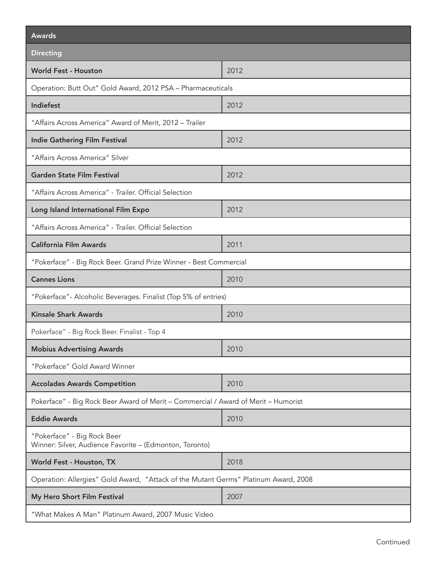| <b>Awards</b>                                                                          |      |  |
|----------------------------------------------------------------------------------------|------|--|
| <b>Directing</b>                                                                       |      |  |
| <b>World Fest - Houston</b>                                                            | 2012 |  |
| Operation: Butt Out" Gold Award, 2012 PSA - Pharmaceuticals                            |      |  |
| Indiefest                                                                              | 2012 |  |
| "Affairs Across America" Award of Merit, 2012 - Trailer                                |      |  |
| <b>Indie Gathering Film Festival</b>                                                   | 2012 |  |
| "Affairs Across America" Silver                                                        |      |  |
| <b>Garden State Film Festival</b>                                                      | 2012 |  |
| "Affairs Across America" - Trailer. Official Selection                                 |      |  |
| Long Island International Film Expo                                                    | 2012 |  |
| "Affairs Across America" - Trailer. Official Selection                                 |      |  |
| <b>California Film Awards</b>                                                          | 2011 |  |
| "Pokerface" - Big Rock Beer. Grand Prize Winner - Best Commercial                      |      |  |
| <b>Cannes Lions</b>                                                                    | 2010 |  |
| "Pokerface" - Alcoholic Beverages. Finalist (Top 5% of entries)                        |      |  |
| <b>Kinsale Shark Awards</b>                                                            | 2010 |  |
| Pokerface" - Big Rock Beer. Finalist - Top 4                                           |      |  |
| <b>Mobius Advertising Awards</b>                                                       | 2010 |  |
| "Pokerface" Gold Award Winner                                                          |      |  |
| <b>Accolades Awards Competition</b>                                                    | 2010 |  |
| Pokerface" - Big Rock Beer Award of Merit - Commercial / Award of Merit - Humorist     |      |  |
| <b>Eddie Awards</b>                                                                    | 2010 |  |
| "Pokerface" - Big Rock Beer<br>Winner: Silver, Audience Favorite - (Edmonton, Toronto) |      |  |
| World Fest - Houston, TX                                                               | 2018 |  |
| Operation: Allergies" Gold Award, "Attack of the Mutant Germs" Platinum Award, 2008    |      |  |
| My Hero Short Film Festival                                                            | 2007 |  |
| "What Makes A Man" Platinum Award, 2007 Music Video                                    |      |  |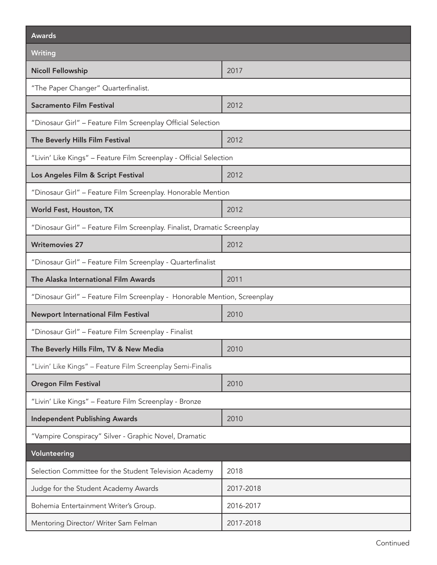| <b>Awards</b>                                                             |           |  |
|---------------------------------------------------------------------------|-----------|--|
| <b>Writing</b>                                                            |           |  |
| <b>Nicoll Fellowship</b>                                                  | 2017      |  |
| "The Paper Changer" Quarterfinalist.                                      |           |  |
| <b>Sacramento Film Festival</b>                                           | 2012      |  |
| "Dinosaur Girl" - Feature Film Screenplay Official Selection              |           |  |
| The Beverly Hills Film Festival                                           | 2012      |  |
| "Livin' Like Kings" - Feature Film Screenplay - Official Selection        |           |  |
| Los Angeles Film & Script Festival                                        | 2012      |  |
| "Dinosaur Girl" - Feature Film Screenplay. Honorable Mention              |           |  |
| World Fest, Houston, TX                                                   | 2012      |  |
| "Dinosaur Girl" - Feature Film Screenplay. Finalist, Dramatic Screenplay  |           |  |
| <b>Writemovies 27</b>                                                     | 2012      |  |
| "Dinosaur Girl" - Feature Film Screenplay - Quarterfinalist               |           |  |
| The Alaska International Film Awards                                      | 2011      |  |
| "Dinosaur Girl" - Feature Film Screenplay - Honorable Mention, Screenplay |           |  |
| <b>Newport International Film Festival</b>                                | 2010      |  |
| "Dinosaur Girl" - Feature Film Screenplay - Finalist                      |           |  |
| The Beverly Hills Film, TV & New Media                                    | 2010      |  |
| "Livin' Like Kings" - Feature Film Screenplay Semi-Finalis                |           |  |
| <b>Oregon Film Festival</b>                                               | 2010      |  |
| "Livin' Like Kings" - Feature Film Screenplay - Bronze                    |           |  |
| <b>Independent Publishing Awards</b>                                      | 2010      |  |
| "Vampire Conspiracy" Silver - Graphic Novel, Dramatic                     |           |  |
| Volunteering                                                              |           |  |
| Selection Committee for the Student Television Academy                    | 2018      |  |
| Judge for the Student Academy Awards                                      | 2017-2018 |  |
| Bohemia Entertainment Writer's Group.                                     | 2016-2017 |  |
| Mentoring Director/ Writer Sam Felman                                     | 2017-2018 |  |